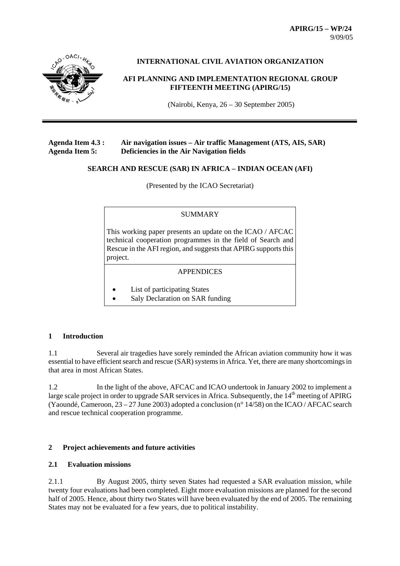**APIRG/15 – WP/24**  9/09/05



# **INTERNATIONAL CIVIL AVIATION ORGANIZATION**

# **AFI PLANNING AND IMPLEMENTATION REGIONAL GROUP FIFTEENTH MEETING (APIRG/15)**

(Nairobi, Kenya, 26 – 30 September 2005)

# **Agenda Item 4.3 : Air navigation issues – Air traffic Management (ATS, AIS, SAR) Agenda Item 5: Deficiencies in the Air Navigation fields**

#### **SEARCH AND RESCUE (SAR) IN AFRICA – INDIAN OCEAN (AFI)**

(Presented by the ICAO Secretariat)

#### SUMMARY

This working paper presents an update on the ICAO / AFCAC technical cooperation programmes in the field of Search and Rescue in the AFI region, and suggests that APIRG supports this project.

# APPENDICES

- List of participating States
- Saly Declaration on SAR funding

# **1 Introduction**

1.1 Several air tragedies have sorely reminded the African aviation community how it was essential to have efficient search and rescue (SAR) systems in Africa. Yet, there are many shortcomings in that area in most African States.

1.2 In the light of the above, AFCAC and ICAO undertook in January 2002 to implement a large scale project in order to upgrade SAR services in Africa. Subsequently, the  $14<sup>th</sup>$  meeting of APIRG (Yaoundé, Cameroon, 23 – 27 June 2003) adopted a conclusion (n° 14/58) on the ICAO / AFCAC search and rescue technical cooperation programme.

# **2 Project achievements and future activities**

# **2.1 Evaluation missions**

2.1.1 By August 2005, thirty seven States had requested a SAR evaluation mission, while twenty four evaluations had been completed. Eight more evaluation missions are planned for the second half of 2005. Hence, about thirty two States will have been evaluated by the end of 2005. The remaining States may not be evaluated for a few years, due to political instability.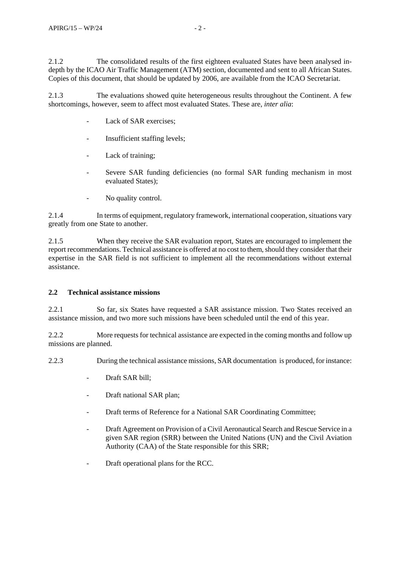2.1.2 The consolidated results of the first eighteen evaluated States have been analysed indepth by the ICAO Air Traffic Management (ATM) section, documented and sent to all African States. Copies of this document, that should be updated by 2006, are available from the ICAO Secretariat.

2.1.3 The evaluations showed quite heterogeneous results throughout the Continent. A few shortcomings, however, seem to affect most evaluated States. These are, *inter alia*:

- Lack of SAR exercises:
- Insufficient staffing levels:
- Lack of training;
- Severe SAR funding deficiencies (no formal SAR funding mechanism in most evaluated States);
- No quality control.

2.1.4 In terms of equipment, regulatory framework, international cooperation, situations vary greatly from one State to another.

2.1.5 When they receive the SAR evaluation report, States are encouraged to implement the report recommendations. Technical assistance is offered at no cost to them, should they consider that their expertise in the SAR field is not sufficient to implement all the recommendations without external assistance.

# **2.2 Technical assistance missions**

2.2.1 So far, six States have requested a SAR assistance mission. Two States received an assistance mission, and two more such missions have been scheduled until the end of this year.

2.2.2 More requests for technical assistance are expected in the coming months and follow up missions are planned.

2.2.3 During the technical assistance missions, SAR documentation is produced, for instance:

- Draft SAR bill;
- Draft national SAR plan;
- Draft terms of Reference for a National SAR Coordinating Committee;
- Draft Agreement on Provision of a Civil Aeronautical Search and Rescue Service in a given SAR region (SRR) between the United Nations (UN) and the Civil Aviation Authority (CAA) of the State responsible for this SRR;
- Draft operational plans for the RCC.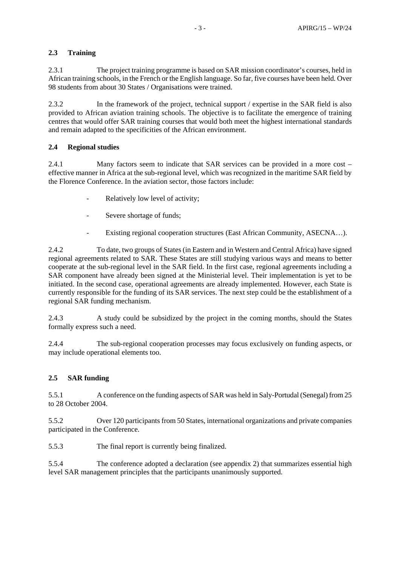# **2.3 Training**

2.3.1 The project training programme is based on SAR mission coordinator's courses, held in African training schools, in the French or the English language. So far, five courses have been held. Over 98 students from about 30 States / Organisations were trained.

2.3.2 In the framework of the project, technical support / expertise in the SAR field is also provided to African aviation training schools. The objective is to facilitate the emergence of training centres that would offer SAR training courses that would both meet the highest international standards and remain adapted to the specificities of the African environment.

# **2.4 Regional studies**

2.4.1 Many factors seem to indicate that SAR services can be provided in a more cost – effective manner in Africa at the sub-regional level, which was recognized in the maritime SAR field by the Florence Conference. In the aviation sector, those factors include:

- Relatively low level of activity;
- Severe shortage of funds;
- Existing regional cooperation structures (East African Community, ASECNA...).

2.4.2 To date, two groups of States (in Eastern and in Western and Central Africa) have signed regional agreements related to SAR. These States are still studying various ways and means to better cooperate at the sub-regional level in the SAR field. In the first case, regional agreements including a SAR component have already been signed at the Ministerial level. Their implementation is yet to be initiated. In the second case, operational agreements are already implemented. However, each State is currently responsible for the funding of its SAR services. The next step could be the establishment of a regional SAR funding mechanism.

2.4.3 A study could be subsidized by the project in the coming months, should the States formally express such a need.

2.4.4 The sub-regional cooperation processes may focus exclusively on funding aspects, or may include operational elements too.

# **2.5 SAR funding**

5.5.1 A conference on the funding aspects of SAR was held in Saly-Portudal (Senegal) from 25 to 28 October 2004.

5.5.2 Over 120 participants from 50 States, international organizations and private companies participated in the Conference.

5.5.3 The final report is currently being finalized.

5.5.4 The conference adopted a declaration (see appendix 2) that summarizes essential high level SAR management principles that the participants unanimously supported.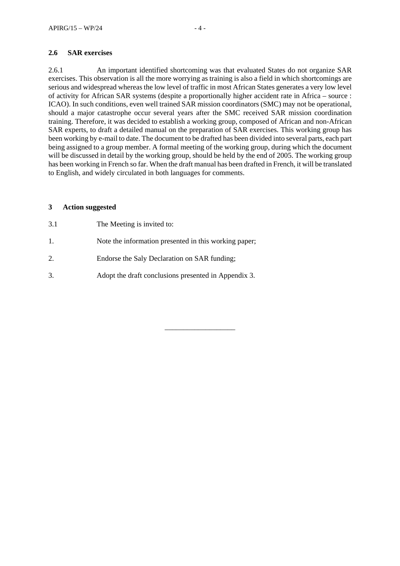# **2.6 SAR exercises**

2.6.1 An important identified shortcoming was that evaluated States do not organize SAR exercises. This observation is all the more worrying as training is also a field in which shortcomings are serious and widespread whereas the low level of traffic in most African States generates a very low level of activity for African SAR systems (despite a proportionally higher accident rate in Africa – source : ICAO). In such conditions, even well trained SAR mission coordinators (SMC) may not be operational, should a major catastrophe occur several years after the SMC received SAR mission coordination training. Therefore, it was decided to establish a working group, composed of African and non-African SAR experts, to draft a detailed manual on the preparation of SAR exercises. This working group has been working by e-mail to date. The document to be drafted has been divided into several parts, each part being assigned to a group member. A formal meeting of the working group, during which the document will be discussed in detail by the working group, should be held by the end of 2005. The working group has been working in French so far. When the draft manual has been drafted in French, it will be translated to English, and widely circulated in both languages for comments.

\_\_\_\_\_\_\_\_\_\_\_\_\_\_\_\_\_\_\_

#### **3 Action suggested**

- 3.1 The Meeting is invited to:
- 1. Note the information presented in this working paper;
- 2. Endorse the Saly Declaration on SAR funding;
- 3. Adopt the draft conclusions presented in Appendix 3.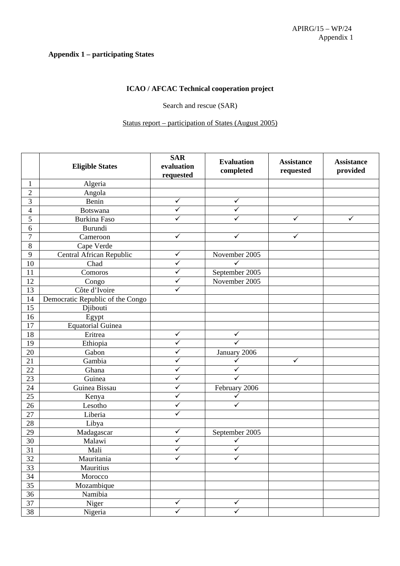#### **Appendix 1 – participating States**

# **ICAO / AFCAC Technical cooperation project**

Search and rescue (SAR)

# Status report – participation of States (August 2005)

|                 | <b>Eligible States</b>           | <b>SAR</b><br>evaluation<br>requested | <b>Evaluation</b><br>completed | <b>Assistance</b><br>requested | <b>Assistance</b><br>provided |
|-----------------|----------------------------------|---------------------------------------|--------------------------------|--------------------------------|-------------------------------|
| $\mathbf{1}$    | Algeria                          |                                       |                                |                                |                               |
| $\overline{2}$  | Angola                           |                                       |                                |                                |                               |
| 3               | Benin                            | $\checkmark$                          | ✓                              |                                |                               |
| 4               | <b>Botswana</b>                  | ✓                                     | ✓                              |                                |                               |
| 5               | Burkina Faso                     | $\checkmark$                          | $\checkmark$                   | $\checkmark$                   | $\checkmark$                  |
| 6               | Burundi                          |                                       |                                |                                |                               |
| $\overline{7}$  | Cameroon                         | $\checkmark$                          | $\checkmark$                   | $\checkmark$                   |                               |
| $8\,$           | Cape Verde                       |                                       |                                |                                |                               |
| 9               | Central African Republic         | $\checkmark$                          | November 2005                  |                                |                               |
| 10              | Chad                             | $\checkmark$                          | $\checkmark$                   |                                |                               |
| 11              | Comoros                          | $\checkmark$                          | September 2005                 |                                |                               |
| 12              | Congo                            | $\checkmark$                          | November 2005                  |                                |                               |
| 13              | Côte d'Ivoire                    | $\overline{\checkmark}$               |                                |                                |                               |
| 14              | Democratic Republic of the Congo |                                       |                                |                                |                               |
| 15              | Djibouti                         |                                       |                                |                                |                               |
| 16              | Egypt                            |                                       |                                |                                |                               |
| 17              | <b>Equatorial Guinea</b>         |                                       |                                |                                |                               |
| 18              | Eritrea                          | $\checkmark$                          | ✓                              |                                |                               |
| 19              | Ethiopia                         | $\checkmark$                          | $\checkmark$                   |                                |                               |
| 20              | Gabon                            | $\checkmark$                          | January 2006                   |                                |                               |
| 21              | Gambia                           | $\checkmark$                          | $\checkmark$                   | $\checkmark$                   |                               |
| 22              | Ghana                            | $\checkmark$                          | ✓                              |                                |                               |
| 23              | Guinea                           | $\checkmark$                          |                                |                                |                               |
| 24              | Guinea Bissau                    | $\checkmark$                          | February 2006                  |                                |                               |
| 25              | Kenya                            | $\checkmark$                          | ✓                              |                                |                               |
| 26              | Lesotho                          | $\checkmark$                          | $\checkmark$                   |                                |                               |
| 27              | Liberia                          | $\checkmark$                          |                                |                                |                               |
| 28              | Libya                            |                                       |                                |                                |                               |
| 29              | Madagascar                       | $\checkmark$                          | September 2005                 |                                |                               |
| 30              | Malawi                           | $\checkmark$                          | $\checkmark$                   |                                |                               |
| 31              | Mali                             | $\checkmark$                          | $\overline{\checkmark}$        |                                |                               |
| 32              | Mauritania                       | $\overline{\checkmark}$               | $\checkmark$                   |                                |                               |
| 33              | Mauritius                        |                                       |                                |                                |                               |
| $\overline{34}$ | Morocco                          |                                       |                                |                                |                               |
| 35              | Mozambique                       |                                       |                                |                                |                               |
| $36\,$          | Namibia                          |                                       |                                |                                |                               |
| 37              | Niger                            | $\checkmark$                          | $\checkmark$                   |                                |                               |
| 38              | Nigeria                          | $\overline{\checkmark}$               | $\overline{\checkmark}$        |                                |                               |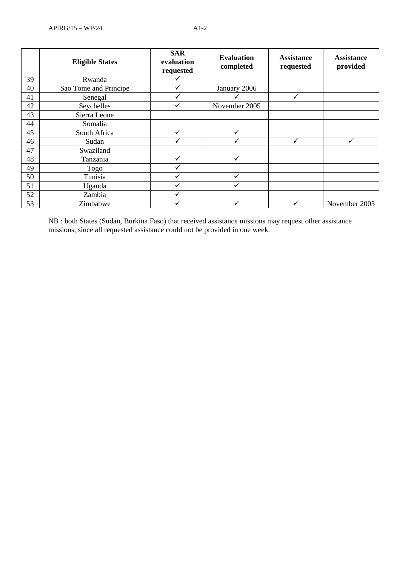|    | <b>Eligible States</b> | <b>SAR</b><br>evaluation<br>requested | <b>Evaluation</b><br>completed | <b>Assistance</b><br>requested | <b>Assistance</b><br>provided |
|----|------------------------|---------------------------------------|--------------------------------|--------------------------------|-------------------------------|
| 39 | Rwanda                 | ✓                                     |                                |                                |                               |
| 40 | Sao Tome and Principe  | ✓                                     | January 2006                   |                                |                               |
| 41 | Senegal                | ✓                                     |                                |                                |                               |
| 42 | Seychelles             | ✓                                     | November 2005                  |                                |                               |
| 43 | Sierra Leone           |                                       |                                |                                |                               |
| 44 | Somalia                |                                       |                                |                                |                               |
| 45 | South Africa           | $\checkmark$                          | ✓                              |                                |                               |
| 46 | Sudan                  | ✓                                     |                                |                                | ✓                             |
| 47 | Swaziland              |                                       |                                |                                |                               |
| 48 | Tanzania               | $\checkmark$                          | ✓                              |                                |                               |
| 49 | Togo                   | ✓                                     |                                |                                |                               |
| 50 | Tunisia                |                                       |                                |                                |                               |
| 51 | Uganda                 | ✓                                     |                                |                                |                               |
| 52 | Zambia                 | ✓                                     |                                |                                |                               |
| 53 | Zimbabwe               | ✓                                     | ✓                              |                                | November 2005                 |

NB : both States (Sudan, Burkina Faso) that received assistance missions may request other assistance missions, since all requested assistance could not be provided in one week.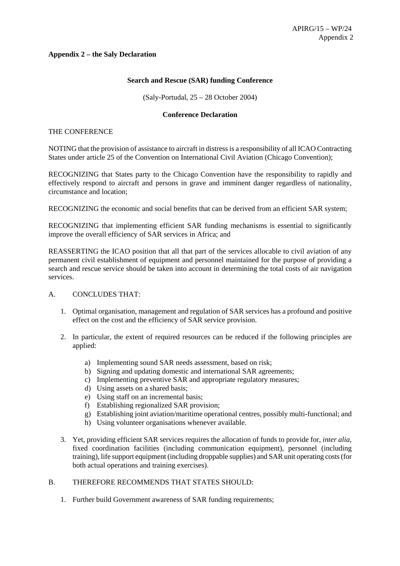# **Appendix 2 – the Saly Declaration**

# **Search and Rescue (SAR) funding Conference**

(Saly-Portudal, 25 – 28 October 2004)

# **Conference Declaration**

#### THE CONFERENCE

NOTING that the provision of assistance to aircraft in distress is a responsibility of all ICAO Contracting States under article 25 of the Convention on International Civil Aviation (Chicago Convention);

RECOGNIZING that States party to the Chicago Convention have the responsibility to rapidly and effectively respond to aircraft and persons in grave and imminent danger regardless of nationality, circumstance and location;

RECOGNIZING the economic and social benefits that can be derived from an efficient SAR system;

RECOGNIZING that implementing efficient SAR funding mechanisms is essential to significantly improve the overall efficiency of SAR services in Africa; and

REASSERTING the ICAO position that all that part of the services allocable to civil aviation of any permanent civil establishment of equipment and personnel maintained for the purpose of providing a search and rescue service should be taken into account in determining the total costs of air navigation services.

# A. CONCLUDES THAT:

- 1. Optimal organisation, management and regulation of SAR services has a profound and positive effect on the cost and the efficiency of SAR service provision.
- 2. In particular, the extent of required resources can be reduced if the following principles are applied:
	- a) Implementing sound SAR needs assessment, based on risk;
	- b) Signing and updating domestic and international SAR agreements;
	- c) Implementing preventive SAR and appropriate regulatory measures;
	- d) Using assets on a shared basis;
	- e) Using staff on an incremental basis;
	- f) Establishing regionalized SAR provision;
	- g) Establishing joint aviation/maritime operational centres, possibly multi-functional; and
	- h) Using volunteer organisations whenever available.
- 3. Yet, providing efficient SAR services requires the allocation of funds to provide for, *inter alia*, fixed coordination facilities (including communication equipment), personnel (including training), life support equipment (including droppable supplies) and SAR unit operating costs (for both actual operations and training exercises).

# B. THEREFORE RECOMMENDS THAT STATES SHOULD:

1. Further build Government awareness of SAR funding requirements;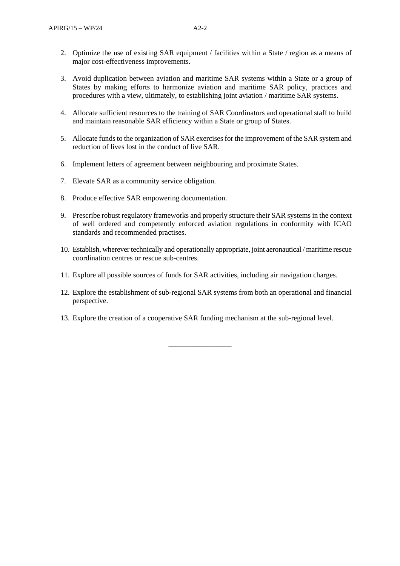- 2. Optimize the use of existing SAR equipment / facilities within a State / region as a means of major cost-effectiveness improvements.
- 3. Avoid duplication between aviation and maritime SAR systems within a State or a group of States by making efforts to harmonize aviation and maritime SAR policy, practices and procedures with a view, ultimately, to establishing joint aviation / maritime SAR systems.
- 4. Allocate sufficient resources to the training of SAR Coordinators and operational staff to build and maintain reasonable SAR efficiency within a State or group of States.
- 5. Allocate funds to the organization of SAR exercises for the improvement of the SAR system and reduction of lives lost in the conduct of live SAR.
- 6. Implement letters of agreement between neighbouring and proximate States.
- 7. Elevate SAR as a community service obligation.
- 8. Produce effective SAR empowering documentation.
- 9. Prescribe robust regulatory frameworks and properly structure their SAR systems in the context of well ordered and competently enforced aviation regulations in conformity with ICAO standards and recommended practises.
- 10. Establish, wherever technically and operationally appropriate, joint aeronautical / maritime rescue coordination centres or rescue sub-centres.
- 11. Explore all possible sources of funds for SAR activities, including air navigation charges.
- 12. Explore the establishment of sub-regional SAR systems from both an operational and financial perspective.
- 13. Explore the creation of a cooperative SAR funding mechanism at the sub-regional level.

\_\_\_\_\_\_\_\_\_\_\_\_\_\_\_\_\_